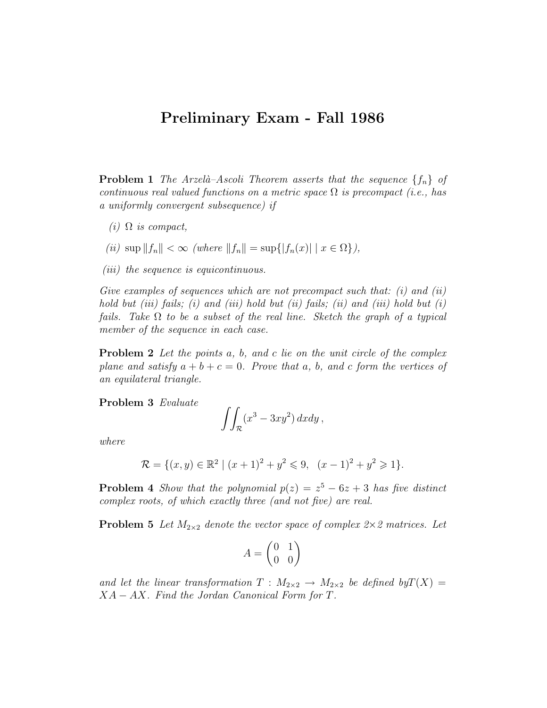## Preliminary Exam - Fall 1986

**Problem 1** The Arzelà–Ascoli Theorem asserts that the sequence  $\{f_n\}$  of continuous real valued functions on a metric space  $\Omega$  is precompact (i.e., has a uniformly convergent subsequence) if

(i)  $\Omega$  is compact,

$$
(ii) \sup \|f_n\| < \infty \ (where \ \|f_n\| = \sup\{|f_n(x)| \mid x \in \Omega\}),
$$

(*iii*) the sequence is equicontinuous.

Give examples of sequences which are not precompact such that:  $(i)$  and  $(ii)$ hold but (iii) fails; (i) and (iii) hold but (ii) fails; (ii) and (iii) hold but (i) fails. Take  $\Omega$  to be a subset of the real line. Sketch the graph of a typical member of the sequence in each case.

**Problem 2** Let the points a, b, and c lie on the unit circle of the complex plane and satisfy  $a + b + c = 0$ . Prove that a, b, and c form the vertices of an equilateral triangle.

Problem 3 Evaluate

$$
\iint_{\mathcal{R}} (x^3 - 3xy^2) \, dxdy,
$$

where

$$
\mathcal{R} = \{(x, y) \in \mathbb{R}^2 \mid (x+1)^2 + y^2 \leq 9, \ (x-1)^2 + y^2 \geq 1\}.
$$

**Problem 4** Show that the polynomial  $p(z) = z^5 - 6z + 3$  has five distinct complex roots, of which exactly three (and not five) are real.

**Problem 5** Let  $M_{2\times 2}$  denote the vector space of complex  $2\times 2$  matrices. Let

$$
A = \begin{pmatrix} 0 & 1 \\ 0 & 0 \end{pmatrix}
$$

and let the linear transformation  $T : M_{2 \times 2} \to M_{2 \times 2}$  be defined by  $T(X) =$  $XA - AX$ . Find the Jordan Canonical Form for T.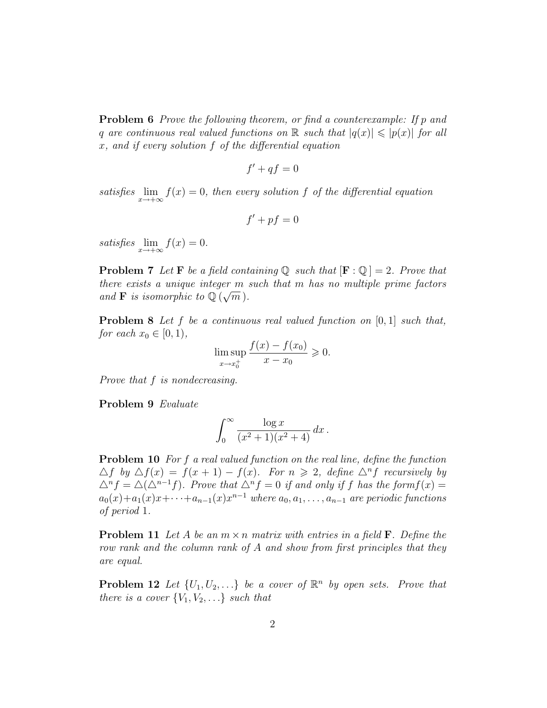**Problem 6** Prove the following theorem, or find a counterexample: If p and q are continuous real valued functions on  $\mathbb R$  such that  $|q(x)| \leqslant |p(x)|$  for all x, and if every solution f of the differential equation

$$
f' + qf = 0
$$

satisfies  $\lim_{x \to +\infty} f(x) = 0$ , then every solution f of the differential equation

$$
f' + pf = 0
$$

satisfies  $\lim_{x \to +\infty} f(x) = 0.$ 

**Problem 7** Let **F** be a field containing  $\mathbb{Q}$  such that  $[\mathbf{F} : \mathbb{Q}] = 2$ . Prove that there exists a unique integer m such that m has no multiple prime factors and **F** is isomorphic to  $\mathbb{Q}(\sqrt{m})$ .

**Problem 8** Let f be a continuous real valued function on  $[0, 1]$  such that, for each  $x_0 \in [0, 1)$ ,

$$
\limsup_{x \to x_0^+} \frac{f(x) - f(x_0)}{x - x_0} \ge 0.
$$

Prove that f is nondecreasing.

Problem 9 Evaluate

$$
\int_0^\infty \frac{\log x}{(x^2+1)(x^2+4)} dx.
$$

Problem 10 For f a real valued function on the real line, define the function  $\Delta f$  by  $\Delta f(x) = f(x+1) - f(x)$ . For  $n \geq 2$ , define  $\Delta^n f$  recursively by  $\Delta^n f = \Delta(\Delta^{n-1} f)$ . Prove that  $\Delta^n f = 0$  if and only if f has the form  $f(x) =$  $a_0(x)+a_1(x)x+\cdots+a_{n-1}(x)x^{n-1}$  where  $a_0,a_1,\ldots,a_{n-1}$  are periodic functions of period 1.

**Problem 11** Let A be an  $m \times n$  matrix with entries in a field **F**. Define the row rank and the column rank of A and show from first principles that they are equal.

**Problem 12** Let  $\{U_1, U_2, \ldots\}$  be a cover of  $\mathbb{R}^n$  by open sets. Prove that there is a cover  ${V_1, V_2,...}$  such that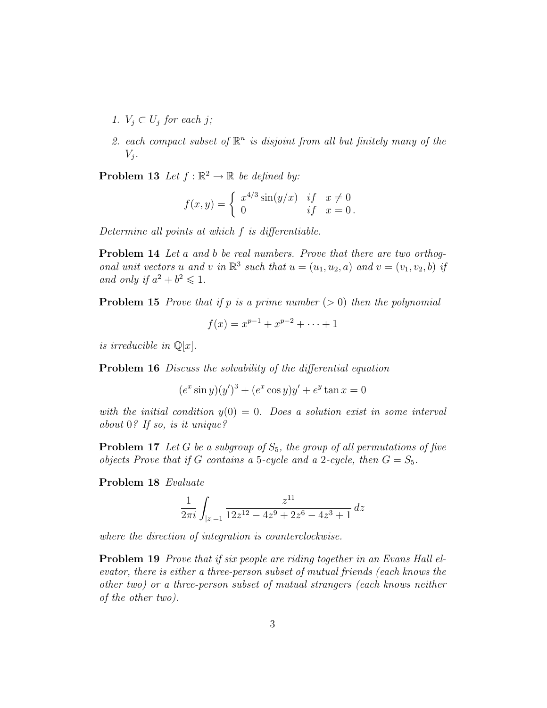- 1.  $V_i \subset U_i$  for each j;
- 2. each compact subset of  $\mathbb{R}^n$  is disjoint from all but finitely many of the  $V_i$ .

**Problem 13** Let  $f : \mathbb{R}^2 \to \mathbb{R}$  be defined by:

$$
f(x,y) = \begin{cases} x^{4/3}\sin(y/x) & \text{if } x \neq 0\\ 0 & \text{if } x = 0 \end{cases}
$$

Determine all points at which f is differentiable.

Problem 14 Let a and b be real numbers. Prove that there are two orthogonal unit vectors u and v in  $\mathbb{R}^3$  such that  $u = (u_1, u_2, a)$  and  $v = (v_1, v_2, b)$  if and only if  $a^2 + b^2 \leq 1$ .

**Problem 15** Prove that if p is a prime number  $(> 0)$  then the polynomial

$$
f(x) = x^{p-1} + x^{p-2} + \dots + 1
$$

is irreducible in  $\mathbb{Q}[x]$ .

Problem 16 Discuss the solvability of the differential equation

$$
(e^x \sin y)(y')^3 + (e^x \cos y)y' + e^y \tan x = 0
$$

with the initial condition  $y(0) = 0$ . Does a solution exist in some interval about 0? If so, is it unique?

**Problem 17** Let G be a subgroup of  $S_5$ , the group of all permutations of five objects Prove that if G contains a 5-cycle and a 2-cycle, then  $G = S_5$ .

Problem 18 Evaluate

$$
\frac{1}{2\pi i} \int_{|z|=1} \frac{z^{11}}{12z^{12} - 4z^9 + 2z^6 - 4z^3 + 1} \, dz
$$

where the direction of integration is counterclockwise.

**Problem 19** Prove that if six people are riding together in an Evans Hall elevator, there is either a three-person subset of mutual friends (each knows the other two) or a three-person subset of mutual strangers (each knows neither of the other two).